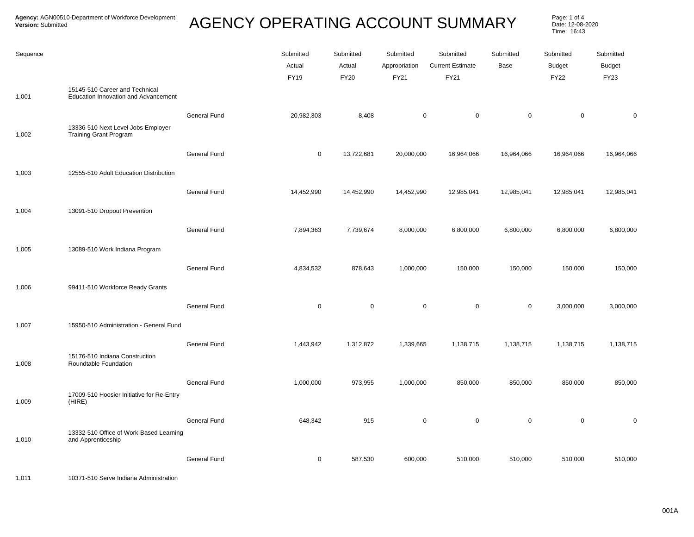## **AGENCY OPERATING ACCOUNT SUMMARY**

Page: 1 of 4<br>Date: 12-08-2020 Time: 16:43

| Sequence | 15145-510 Career and Technical                                      |                     | Submitted<br>Actual<br><b>FY19</b> | Submitted<br>Actual<br><b>FY20</b> | Submitted<br>Appropriation<br>FY21 | Submitted<br><b>Current Estimate</b><br>FY21 | Submitted<br>Base | Submitted<br><b>Budget</b><br><b>FY22</b> | Submitted<br><b>Budget</b><br><b>FY23</b> |
|----------|---------------------------------------------------------------------|---------------------|------------------------------------|------------------------------------|------------------------------------|----------------------------------------------|-------------------|-------------------------------------------|-------------------------------------------|
| 1,001    | <b>Education Innovation and Advancement</b>                         |                     |                                    |                                    |                                    |                                              |                   |                                           |                                           |
| 1,002    | 13336-510 Next Level Jobs Employer<br><b>Training Grant Program</b> | <b>General Fund</b> | 20,982,303                         | $-8,408$                           | $\mathbf 0$                        | $\mathbf 0$                                  | $\mathbf 0$       | $\mathbf 0$                               | $\mathbf 0$                               |
|          |                                                                     | <b>General Fund</b> | $\mathbf 0$                        | 13,722,681                         | 20,000,000                         | 16,964,066                                   | 16,964,066        | 16,964,066                                | 16,964,066                                |
| 1,003    | 12555-510 Adult Education Distribution                              |                     |                                    |                                    |                                    |                                              |                   |                                           |                                           |
|          |                                                                     | <b>General Fund</b> | 14,452,990                         | 14,452,990                         | 14,452,990                         | 12,985,041                                   | 12,985,041        | 12,985,041                                | 12,985,041                                |
| 1,004    | 13091-510 Dropout Prevention                                        |                     |                                    |                                    |                                    |                                              |                   |                                           |                                           |
|          |                                                                     | <b>General Fund</b> | 7,894,363                          | 7,739,674                          | 8,000,000                          | 6,800,000                                    | 6,800,000         | 6,800,000                                 | 6,800,000                                 |
| 1,005    | 13089-510 Work Indiana Program                                      |                     |                                    |                                    |                                    |                                              |                   |                                           |                                           |
|          |                                                                     | <b>General Fund</b> | 4,834,532                          | 878,643                            | 1,000,000                          | 150,000                                      | 150,000           | 150,000                                   | 150,000                                   |
| 1,006    | 99411-510 Workforce Ready Grants                                    |                     |                                    |                                    |                                    |                                              |                   |                                           |                                           |
|          |                                                                     | <b>General Fund</b> | $\mathbf 0$                        | $\mathbf 0$                        | $\mathbf 0$                        | $\mathbf 0$                                  | $\mathbf 0$       | 3,000,000                                 | 3,000,000                                 |
| 1,007    | 15950-510 Administration - General Fund                             |                     |                                    |                                    |                                    |                                              |                   |                                           |                                           |
|          | 15176-510 Indiana Construction                                      | <b>General Fund</b> | 1,443,942                          | 1,312,872                          | 1,339,665                          | 1,138,715                                    | 1,138,715         | 1,138,715                                 | 1,138,715                                 |
| 1,008    | Roundtable Foundation                                               |                     |                                    |                                    |                                    |                                              |                   |                                           |                                           |
| 1,009    | 17009-510 Hoosier Initiative for Re-Entry<br>(HIRE)                 | <b>General Fund</b> | 1,000,000                          | 973,955                            | 1,000,000                          | 850,000                                      | 850,000           | 850,000                                   | 850,000                                   |
| 1,010    | 13332-510 Office of Work-Based Learning<br>and Apprenticeship       | <b>General Fund</b> | 648,342                            | 915                                | $\mathbf 0$                        | $\mathbf 0$                                  | $\mathsf 0$       | $\mathbf 0$                               | $\Omega$                                  |
|          |                                                                     | <b>General Fund</b> | 0                                  | 587,530                            | 600,000                            | 510,000                                      | 510,000           | 510,000                                   | 510,000                                   |

1,011 10371-510 Serve Indiana Administration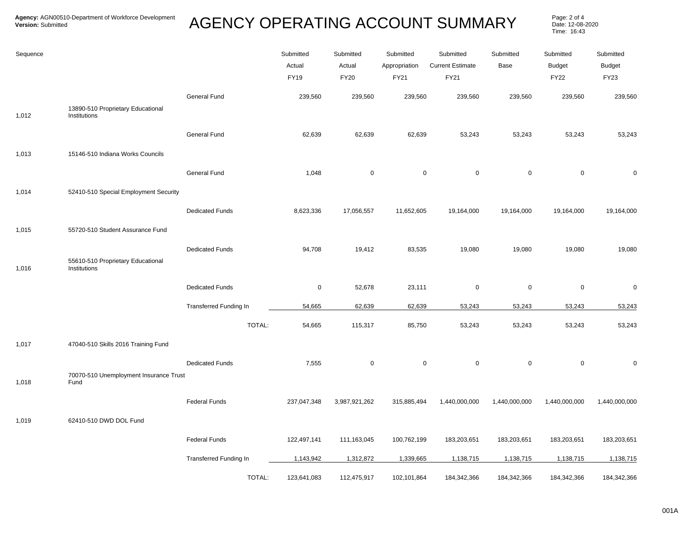## AGENCY OPERATING ACCOUNT SUMMARY Page: 2 of 4

Date: 12-08-2020 Time: 16:43

| Sequence |                                                   |                        | Submitted<br>Actual<br><b>FY19</b> | Submitted<br>Actual<br><b>FY20</b> | Submitted<br>Appropriation<br>FY21 | Submitted<br><b>Current Estimate</b><br>FY21 | Submitted<br>Base | Submitted<br><b>Budget</b><br><b>FY22</b> | Submitted<br><b>Budget</b><br>FY23 |
|----------|---------------------------------------------------|------------------------|------------------------------------|------------------------------------|------------------------------------|----------------------------------------------|-------------------|-------------------------------------------|------------------------------------|
| 1,012    | 13890-510 Proprietary Educational<br>Institutions | General Fund           | 239,560                            | 239,560                            | 239,560                            | 239,560                                      | 239,560           | 239,560                                   | 239,560                            |
|          |                                                   | General Fund           | 62,639                             | 62,639                             | 62,639                             | 53,243                                       | 53,243            | 53,243                                    | 53,243                             |
| 1,013    | 15146-510 Indiana Works Councils                  | General Fund           | 1,048                              | $\pmb{0}$                          | $\mathbf 0$                        | $\mathbf 0$                                  | $\mathsf 0$       | $\mathbf 0$                               | $\pmb{0}$                          |
| 1,014    | 52410-510 Special Employment Security             |                        |                                    |                                    |                                    |                                              |                   |                                           |                                    |
| 1,015    | 55720-510 Student Assurance Fund                  | <b>Dedicated Funds</b> | 8,623,336                          | 17,056,557                         | 11,652,605                         | 19,164,000                                   | 19,164,000        | 19,164,000                                | 19,164,000                         |
| 1,016    | 55610-510 Proprietary Educational<br>Institutions | <b>Dedicated Funds</b> | 94,708                             | 19,412                             | 83,535                             | 19,080                                       | 19,080            | 19,080                                    | 19,080                             |
|          |                                                   | <b>Dedicated Funds</b> | $\mathbf 0$                        | 52,678                             | 23,111                             | $\mathbf 0$                                  | $\mathbf 0$       | $\mathbf 0$                               | 0                                  |
|          |                                                   | Transferred Funding In | 54,665                             | 62,639                             | 62,639                             | 53,243                                       | 53,243            | 53,243                                    | 53,243                             |
|          |                                                   | TOTAL:                 | 54,665                             | 115,317                            | 85,750                             | 53,243                                       | 53,243            | 53,243                                    | 53,243                             |
| 1,017    | 47040-510 Skills 2016 Training Fund               |                        |                                    |                                    |                                    |                                              |                   |                                           |                                    |
| 1,018    | 70070-510 Unemployment Insurance Trust<br>Fund    | <b>Dedicated Funds</b> | 7,555                              | 0                                  | $\mathbf 0$                        | $\mathsf 0$                                  | $\mathsf 0$       | $\boldsymbol{0}$                          | 0                                  |
|          |                                                   | <b>Federal Funds</b>   | 237,047,348                        | 3,987,921,262                      | 315,885,494                        | 1,440,000,000                                | 1,440,000,000     | 1,440,000,000                             | 1,440,000,000                      |
| 1,019    | 62410-510 DWD DOL Fund                            |                        |                                    |                                    |                                    |                                              |                   |                                           |                                    |
|          |                                                   | <b>Federal Funds</b>   | 122,497,141                        | 111,163,045                        | 100,762,199                        | 183,203,651                                  | 183,203,651       | 183,203,651                               | 183,203,651                        |
|          |                                                   | Transferred Funding In | 1,143,942                          | 1,312,872                          | 1,339,665                          | 1,138,715                                    | 1,138,715         | 1,138,715                                 | 1,138,715                          |
|          |                                                   | TOTAL:                 | 123,641,083                        | 112,475,917                        | 102,101,864                        | 184,342,366                                  | 184,342,366       | 184,342,366                               | 184,342,366                        |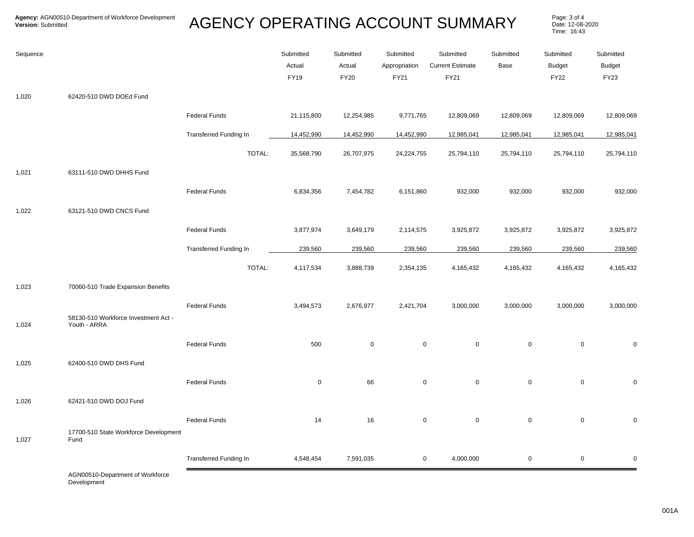## AGENCY OPERATING ACCOUNT SUMMARY Page: 3 of 4

Date: 12-08-2020 Time: 16:43

| Sequence |                                                      |                               | Submitted<br>Actual<br>FY19 | Submitted<br>Actual<br>FY20 | Submitted<br>Appropriation<br>FY21 | Submitted<br><b>Current Estimate</b><br>FY21 | Submitted<br>Base | Submitted<br><b>Budget</b><br><b>FY22</b> | Submitted<br><b>Budget</b><br><b>FY23</b> |
|----------|------------------------------------------------------|-------------------------------|-----------------------------|-----------------------------|------------------------------------|----------------------------------------------|-------------------|-------------------------------------------|-------------------------------------------|
| 1,020    | 62420-510 DWD DOEd Fund                              |                               |                             |                             |                                    |                                              |                   |                                           |                                           |
|          |                                                      | <b>Federal Funds</b>          | 21,115,800                  | 12,254,985                  | 9,771,765                          | 12,809,069                                   | 12,809,069        | 12,809,069                                | 12,809,069                                |
|          |                                                      | <b>Transferred Funding In</b> | 14,452,990                  | 14,452,990                  | 14,452,990                         | 12,985,041                                   | 12,985,041        | 12,985,041                                | 12,985,041                                |
|          |                                                      | TOTAL:                        | 35,568,790                  | 26,707,975                  | 24,224,755                         | 25,794,110                                   | 25,794,110        | 25,794,110                                | 25,794,110                                |
| 1,021    | 63111-510 DWD DHHS Fund                              |                               |                             |                             |                                    |                                              |                   |                                           |                                           |
|          |                                                      | <b>Federal Funds</b>          | 6,834,356                   | 7,454,782                   | 6,151,860                          | 932,000                                      | 932,000           | 932,000                                   | 932,000                                   |
| 1,022    | 63121-510 DWD CNCS Fund                              |                               |                             |                             |                                    |                                              |                   |                                           |                                           |
|          |                                                      | <b>Federal Funds</b>          | 3,877,974                   | 3,649,179                   | 2,114,575                          | 3,925,872                                    | 3,925,872         | 3,925,872                                 | 3,925,872                                 |
|          |                                                      | <b>Transferred Funding In</b> | 239,560                     | 239,560                     | 239,560                            | 239,560                                      | 239,560           | 239,560                                   | 239,560                                   |
|          |                                                      | TOTAL:                        | 4,117,534                   | 3,888,739                   | 2,354,135                          | 4,165,432                                    | 4,165,432         | 4,165,432                                 | 4,165,432                                 |
| 1,023    | 70060-510 Trade Expansion Benefits                   |                               |                             |                             |                                    |                                              |                   |                                           |                                           |
|          |                                                      | <b>Federal Funds</b>          | 3,494,573                   | 2,676,977                   | 2,421,704                          | 3,000,000                                    | 3,000,000         | 3,000,000                                 | 3,000,000                                 |
| 1,024    | 58130-510 Workforce Investment Act -<br>Youth - ARRA |                               |                             |                             |                                    |                                              |                   |                                           |                                           |
|          |                                                      | <b>Federal Funds</b>          | 500                         | $\mathsf 0$                 | $\mathsf 0$                        | $\mathbf 0$                                  | $\mathbf 0$       | $\mathbf 0$                               | 0                                         |
| 1,025    | 62400-510 DWD DHS Fund                               |                               |                             |                             |                                    |                                              |                   |                                           |                                           |
|          |                                                      | <b>Federal Funds</b>          | $\pmb{0}$                   | 66                          | $\pmb{0}$                          | $\mathsf 0$                                  | $\mathsf 0$       | $\mathbf 0$                               | 0                                         |
| 1,026    | 62421-510 DWD DOJ Fund                               |                               |                             |                             |                                    |                                              |                   |                                           |                                           |
|          |                                                      | <b>Federal Funds</b>          | 14                          | 16                          | $\mathsf 0$                        | $\mathbf 0$                                  | $\mathbf 0$       | $\mathbf 0$                               | 0                                         |
| 1,027    | 17700-510 State Workforce Development<br>Fund        |                               |                             |                             |                                    |                                              |                   |                                           |                                           |
|          |                                                      | Transferred Funding In        | 4,548,454                   | 7,591,035                   | 0                                  | 4,000,000                                    | $\mathsf 0$       | $\mathbf 0$                               | $\pmb{0}$                                 |

AGN00510-Department of Workforce Development No Funding Type 0 0 0 0 0 0 0